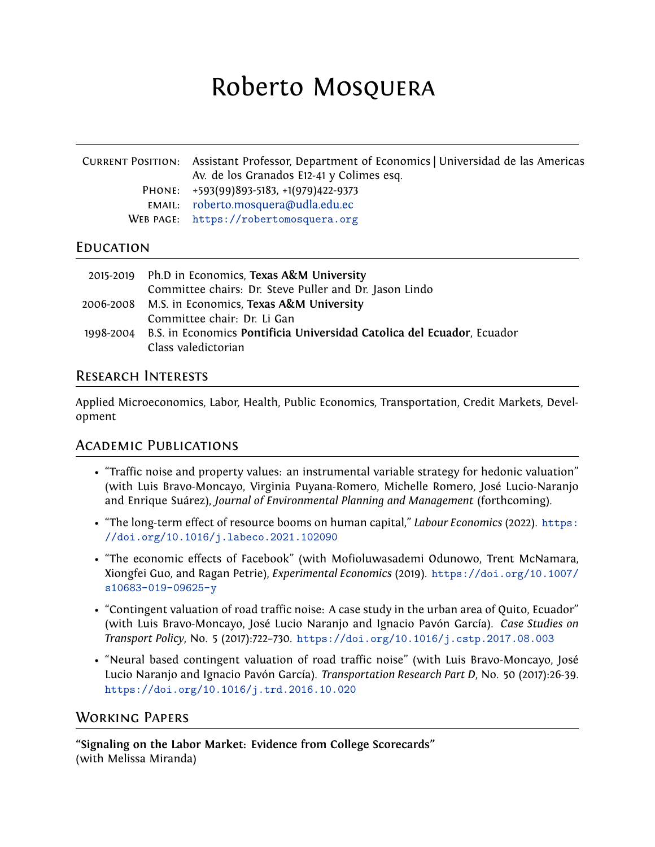# Roberto Mosquera

| CURRENT POSITION: Assistant Professor, Department of Economics   Universidad de las Americas<br>Av. de los Granados E12-41 y Colimes esq. |
|-------------------------------------------------------------------------------------------------------------------------------------------|
| PHONE: +593(99)893-5183, +1(979)422-9373                                                                                                  |
| EMAIL: roberto.mosquera@udla.edu.ec                                                                                                       |
| WEB PAGE: https://robertomosquera.org                                                                                                     |

## **EDUCATION**

|           | 2015-2019 Ph.D in Economics, Texas A&M University                      |
|-----------|------------------------------------------------------------------------|
|           | Committee chairs: Dr. Steve Puller and Dr. Jason Lindo                 |
|           | 2006-2008 M.S. in Economics, Texas A&M University                      |
|           | Committee chair: Dr. Li Gan                                            |
| 1998-2004 | B.S. in Economics Pontificia Universidad Catolica del Ecuador, Ecuador |
|           | Class valedictorian                                                    |

## Research Interests

Applied Microeconomics, Labor, Health, Public Economics, Transportation, Credit Markets, Development

## Academic Publications

- "Traffic noise and property values: an instrumental variable strategy for hedonic valuation" (with Luis Bravo-Moncayo, Virginia Puyana-Romero, Michelle Romero, José Lucio-Naranjo and Enrique Suárez), *Journal of Environmental Planning and Management* (forthcoming).
- "The long-term effect of resource booms on human capital," *Labour Economics* (2022). [https:](https://doi.org/10.1016/j.labeco.2021.102090) [//doi.org/10.1016/j.labeco.2021.102090](https://doi.org/10.1016/j.labeco.2021.102090)
- "The economic effects of Facebook" (with Mofioluwasademi Odunowo, Trent McNamara, Xiongfei Guo, and Ragan Petrie), *Experimental Economics* (2019). [https://doi.org/10.1007/](https://doi.org/10.1007/s10683-019-09625-y) [s10683-019-09625-y](https://doi.org/10.1007/s10683-019-09625-y)
- "Contingent valuation of road traffic noise: A case study in the urban area of Quito, Ecuador" (with Luis Bravo-Moncayo, José Lucio Naranjo and Ignacio Pavón García). *Case Studies on Transport Policy*, No. 5 (2017):722–730. <https://doi.org/10.1016/j.cstp.2017.08.003>
- "Neural based contingent valuation of road traffic noise" (with Luis Bravo-Moncayo, José Lucio Naranjo and Ignacio Pavón García). *Transportation Research Part D*, No. 50 (2017):26-39. <https://doi.org/10.1016/j.trd.2016.10.020>

# Working Papers

**"Signaling on the Labor Market: Evidence from College Scorecards"** (with Melissa Miranda)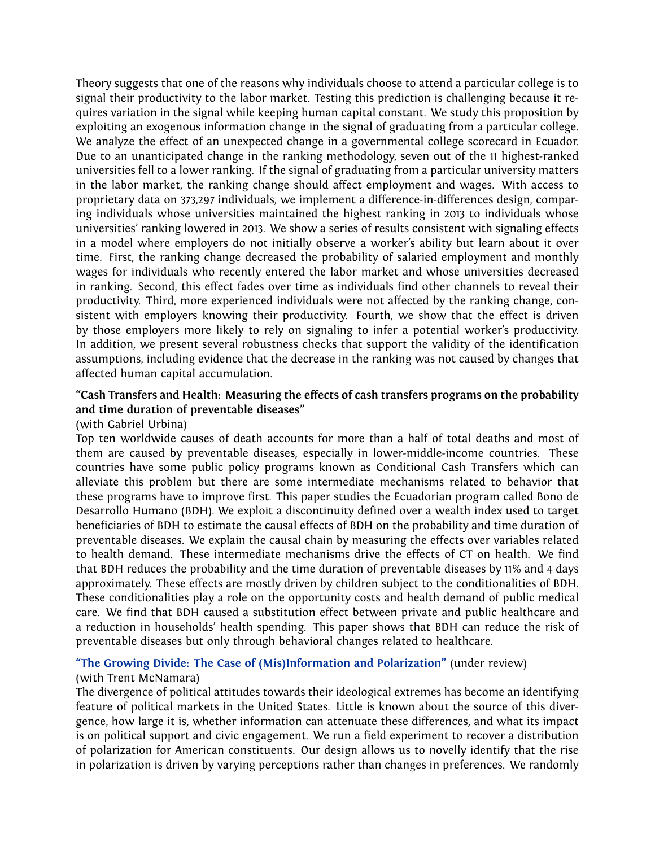Theory suggests that one of the reasons why individuals choose to attend a particular college is to signal their productivity to the labor market. Testing this prediction is challenging because it requires variation in the signal while keeping human capital constant. We study this proposition by exploiting an exogenous information change in the signal of graduating from a particular college. We analyze the effect of an unexpected change in a governmental college scorecard in Ecuador. Due to an unanticipated change in the ranking methodology, seven out of the 11 highest-ranked universities fell to a lower ranking. If the signal of graduating from a particular university matters in the labor market, the ranking change should affect employment and wages. With access to proprietary data on 373,297 individuals, we implement a difference-in-differences design, comparing individuals whose universities maintained the highest ranking in 2013 to individuals whose universities' ranking lowered in 2013. We show a series of results consistent with signaling effects in a model where employers do not initially observe a worker's ability but learn about it over time. First, the ranking change decreased the probability of salaried employment and monthly wages for individuals who recently entered the labor market and whose universities decreased in ranking. Second, this effect fades over time as individuals find other channels to reveal their productivity. Third, more experienced individuals were not affected by the ranking change, consistent with employers knowing their productivity. Fourth, we show that the effect is driven by those employers more likely to rely on signaling to infer a potential worker's productivity. In addition, we present several robustness checks that support the validity of the identification assumptions, including evidence that the decrease in the ranking was not caused by changes that affected human capital accumulation.

#### **"Cash Transfers and Health: Measuring the effects of cash transfers programs on the probability and time duration of preventable diseases"**

#### (with Gabriel Urbina)

Top ten worldwide causes of death accounts for more than a half of total deaths and most of them are caused by preventable diseases, especially in lower-middle-income countries. These countries have some public policy programs known as Conditional Cash Transfers which can alleviate this problem but there are some intermediate mechanisms related to behavior that these programs have to improve first. This paper studies the Ecuadorian program called Bono de Desarrollo Humano (BDH). We exploit a discontinuity defined over a wealth index used to target beneficiaries of BDH to estimate the causal effects of BDH on the probability and time duration of preventable diseases. We explain the causal chain by measuring the effects over variables related to health demand. These intermediate mechanisms drive the effects of CT on health. We find that BDH reduces the probability and the time duration of preventable diseases by 11% and 4 days approximately. These effects are mostly driven by children subject to the conditionalities of BDH. These conditionalities play a role on the opportunity costs and health demand of public medical care. We find that BDH caused a substitution effect between private and public healthcare and a reduction in households' health spending. This paper shows that BDH can reduce the risk of preventable diseases but only through behavioral changes related to healthcare.

## **["The Growing Divide: The Case of \(Mis\)Information and Polarization"](https://papers.ssrn.com/sol3/papers.cfm?abstract_id=3604566)** (under review)

#### (with Trent McNamara)

The divergence of political attitudes towards their ideological extremes has become an identifying feature of political markets in the United States. Little is known about the source of this divergence, how large it is, whether information can attenuate these differences, and what its impact is on political support and civic engagement. We run a field experiment to recover a distribution of polarization for American constituents. Our design allows us to novelly identify that the rise in polarization is driven by varying perceptions rather than changes in preferences. We randomly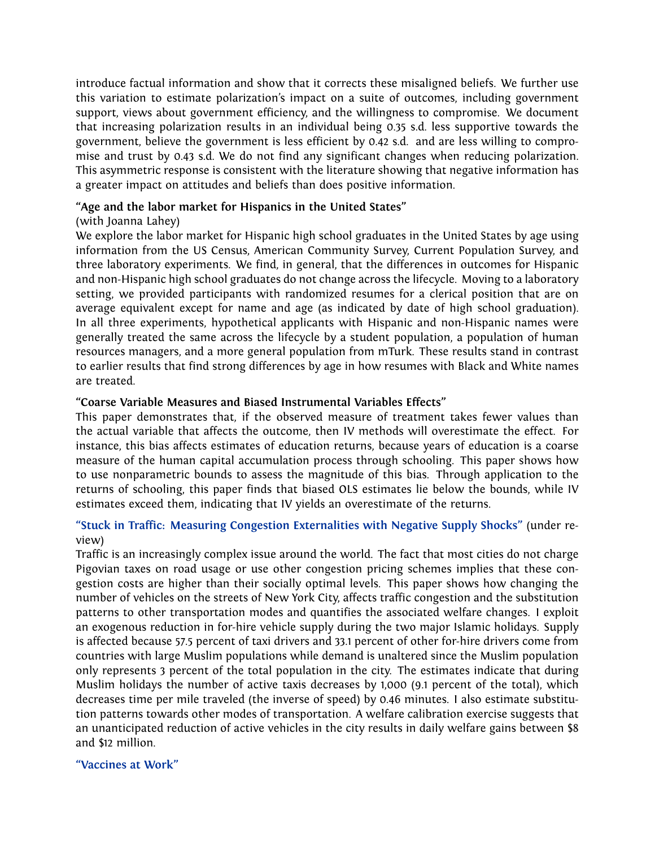introduce factual information and show that it corrects these misaligned beliefs. We further use this variation to estimate polarization's impact on a suite of outcomes, including government support, views about government efficiency, and the willingness to compromise. We document that increasing polarization results in an individual being 0.35 s.d. less supportive towards the government, believe the government is less efficient by 0.42 s.d. and are less willing to compromise and trust by 0.43 s.d. We do not find any significant changes when reducing polarization. This asymmetric response is consistent with the literature showing that negative information has a greater impact on attitudes and beliefs than does positive information.

#### **"Age and the labor market for Hispanics in the United States"**

#### (with Joanna Lahey)

We explore the labor market for Hispanic high school graduates in the United States by age using information from the US Census, American Community Survey, Current Population Survey, and three laboratory experiments. We find, in general, that the differences in outcomes for Hispanic and non-Hispanic high school graduates do not change across the lifecycle. Moving to a laboratory setting, we provided participants with randomized resumes for a clerical position that are on average equivalent except for name and age (as indicated by date of high school graduation). In all three experiments, hypothetical applicants with Hispanic and non-Hispanic names were generally treated the same across the lifecycle by a student population, a population of human resources managers, and a more general population from mTurk. These results stand in contrast to earlier results that find strong differences by age in how resumes with Black and White names are treated.

#### **"Coarse Variable Measures and Biased Instrumental Variables Effects"**

This paper demonstrates that, if the observed measure of treatment takes fewer values than the actual variable that affects the outcome, then IV methods will overestimate the effect. For instance, this bias affects estimates of education returns, because years of education is a coarse measure of the human capital accumulation process through schooling. This paper shows how to use nonparametric bounds to assess the magnitude of this bias. Through application to the returns of schooling, this paper finds that biased OLS estimates lie below the bounds, while IV estimates exceed them, indicating that IV yields an overestimate of the returns.

#### **["Stuck in Traffic: Measuring Congestion Externalities with Negative Supply Shocks"](https://robertomosquera.weebly.com/research.html)** (under review)

Traffic is an increasingly complex issue around the world. The fact that most cities do not charge Pigovian taxes on road usage or use other congestion pricing schemes implies that these congestion costs are higher than their socially optimal levels. This paper shows how changing the number of vehicles on the streets of New York City, affects traffic congestion and the substitution patterns to other transportation modes and quantifies the associated welfare changes. I exploit an exogenous reduction in for-hire vehicle supply during the two major Islamic holidays. Supply is affected because 57.5 percent of taxi drivers and 33.1 percent of other for-hire drivers come from countries with large Muslim populations while demand is unaltered since the Muslim population only represents 3 percent of the total population in the city. The estimates indicate that during Muslim holidays the number of active taxis decreases by 1,000 (9.1 percent of the total), which decreases time per mile traveled (the inverse of speed) by 0.46 minutes. I also estimate substitution patterns towards other modes of transportation. A welfare calibration exercise suggests that an unanticipated reduction of active vehicles in the city results in daily welfare gains between \$8 and \$12 million.

#### **["Vaccines at Work"](https://robertomosquera.weebly.com/research.html)**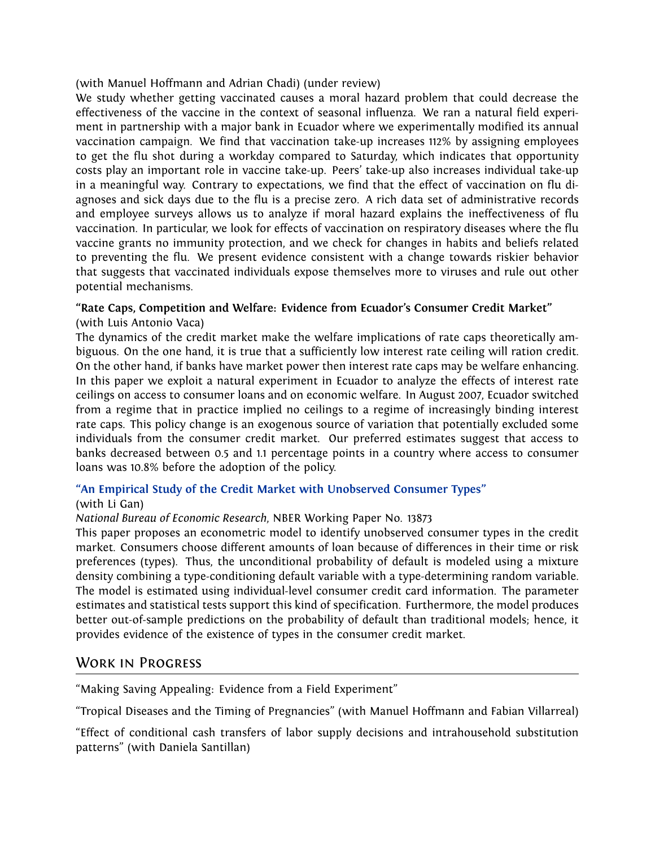(with Manuel Hoffmann and Adrian Chadi) (under review)

We study whether getting vaccinated causes a moral hazard problem that could decrease the effectiveness of the vaccine in the context of seasonal influenza. We ran a natural field experiment in partnership with a major bank in Ecuador where we experimentally modified its annual vaccination campaign. We find that vaccination take-up increases 112% by assigning employees to get the flu shot during a workday compared to Saturday, which indicates that opportunity costs play an important role in vaccine take-up. Peers' take-up also increases individual take-up in a meaningful way. Contrary to expectations, we find that the effect of vaccination on flu diagnoses and sick days due to the flu is a precise zero. A rich data set of administrative records and employee surveys allows us to analyze if moral hazard explains the ineffectiveness of flu vaccination. In particular, we look for effects of vaccination on respiratory diseases where the flu vaccine grants no immunity protection, and we check for changes in habits and beliefs related to preventing the flu. We present evidence consistent with a change towards riskier behavior that suggests that vaccinated individuals expose themselves more to viruses and rule out other potential mechanisms.

#### **"Rate Caps, Competition and Welfare: Evidence from Ecuador's Consumer Credit Market"** (with Luis Antonio Vaca)

The dynamics of the credit market make the welfare implications of rate caps theoretically ambiguous. On the one hand, it is true that a sufficiently low interest rate ceiling will ration credit. On the other hand, if banks have market power then interest rate caps may be welfare enhancing. In this paper we exploit a natural experiment in Ecuador to analyze the effects of interest rate ceilings on access to consumer loans and on economic welfare. In August 2007, Ecuador switched from a regime that in practice implied no ceilings to a regime of increasingly binding interest rate caps. This policy change is an exogenous source of variation that potentially excluded some individuals from the consumer credit market. Our preferred estimates suggest that access to banks decreased between 0.5 and 1.1 percentage points in a country where access to consumer loans was 10.8% before the adoption of the policy.

## **["An Empirical Study of the Credit Market with Unobserved Consumer Types"](https://www.nber.org/papers/w13873)**

#### (with Li Gan)

#### *National Bureau of Economic Research*, NBER Working Paper No. 13873

This paper proposes an econometric model to identify unobserved consumer types in the credit market. Consumers choose different amounts of loan because of differences in their time or risk preferences (types). Thus, the unconditional probability of default is modeled using a mixture density combining a type-conditioning default variable with a type-determining random variable. The model is estimated using individual-level consumer credit card information. The parameter estimates and statistical tests support this kind of specification. Furthermore, the model produces better out-of-sample predictions on the probability of default than traditional models; hence, it provides evidence of the existence of types in the consumer credit market.

# Work in Progress

"Making Saving Appealing: Evidence from a Field Experiment"

"Tropical Diseases and the Timing of Pregnancies" (with Manuel Hoffmann and Fabian Villarreal)

"Effect of conditional cash transfers of labor supply decisions and intrahousehold substitution patterns" (with Daniela Santillan)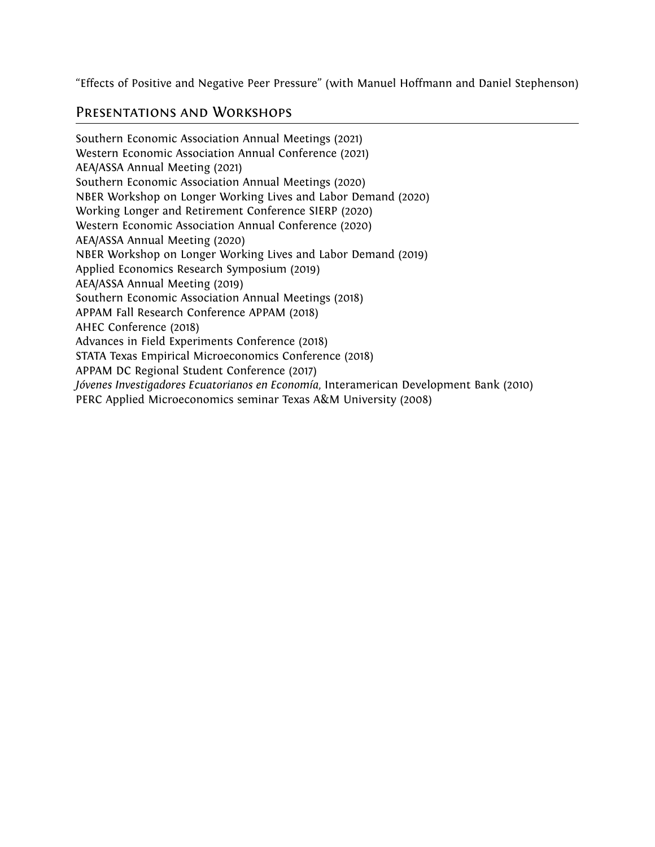"Effects of Positive and Negative Peer Pressure" (with Manuel Hoffmann and Daniel Stephenson)

## Presentations and Workshops

Southern Economic Association Annual Meetings (2021) Western Economic Association Annual Conference (2021) AEA/ASSA Annual Meeting (2021) Southern Economic Association Annual Meetings (2020) NBER Workshop on Longer Working Lives and Labor Demand (2020) Working Longer and Retirement Conference SIERP (2020) Western Economic Association Annual Conference (2020) AEA/ASSA Annual Meeting (2020) NBER Workshop on Longer Working Lives and Labor Demand (2019) Applied Economics Research Symposium (2019) AEA/ASSA Annual Meeting (2019) Southern Economic Association Annual Meetings (2018) APPAM Fall Research Conference APPAM (2018) AHEC Conference (2018) Advances in Field Experiments Conference (2018) STATA Texas Empirical Microeconomics Conference (2018) APPAM DC Regional Student Conference (2017) *Jóvenes Investigadores Ecuatorianos en Economía*, Interamerican Development Bank (2010) PERC Applied Microeconomics seminar Texas A&M University (2008)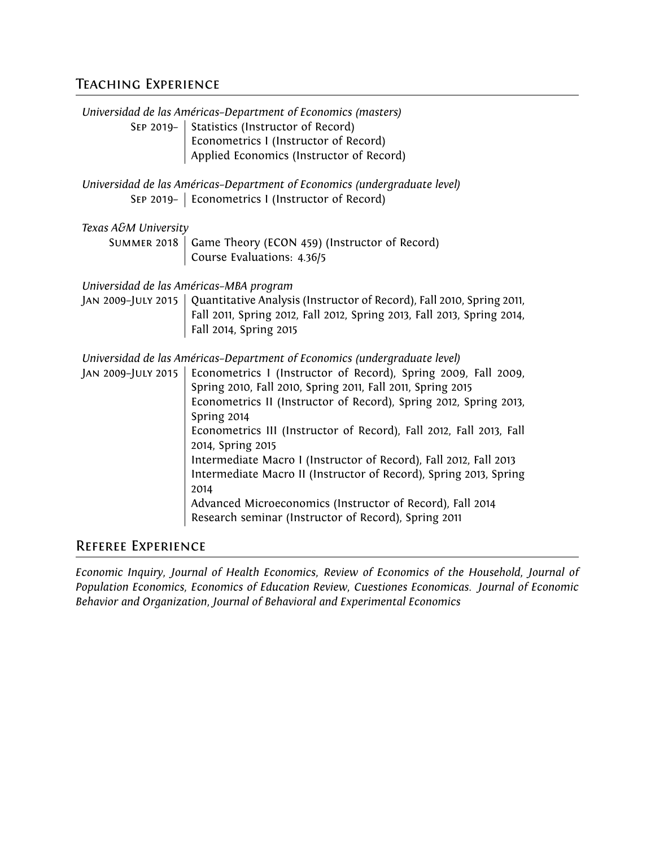# Teaching Experience

|                                                             | Universidad de las Américas-Department of Economics (masters)                                                                  |
|-------------------------------------------------------------|--------------------------------------------------------------------------------------------------------------------------------|
|                                                             | SEP 2019- Statistics (Instructor of Record)                                                                                    |
|                                                             | Econometrics I (Instructor of Record)                                                                                          |
|                                                             | Applied Economics (Instructor of Record)                                                                                       |
|                                                             | Universidad de las Américas-Department of Economics (undergraduate level)<br>SEP 2019-   Econometrics I (Instructor of Record) |
| Texas A&M University                                        |                                                                                                                                |
| SUMMER 2018   Game Theory (ECON 459) (Instructor of Record) |                                                                                                                                |
|                                                             | Course Evaluations: 4.36/5                                                                                                     |
|                                                             |                                                                                                                                |
|                                                             | Universidad de las Américas-MBA program                                                                                        |
|                                                             | JAN 2009-JULY 2015   Quantitative Analysis (Instructor of Record), Fall 2010, Spring 2011,                                     |
|                                                             | Fall 2011, Spring 2012, Fall 2012, Spring 2013, Fall 2013, Spring 2014,<br>Fall 2014, Spring 2015                              |
|                                                             |                                                                                                                                |
|                                                             | Universidad de las Américas-Department of Economics (undergraduate level)                                                      |
| JAN 2009-JULY 2015                                          | Econometrics I (Instructor of Record), Spring 2009, Fall 2009,                                                                 |
|                                                             | Spring 2010, Fall 2010, Spring 2011, Fall 2011, Spring 2015                                                                    |
|                                                             | Econometrics II (Instructor of Record), Spring 2012, Spring 2013,<br>Spring 2014                                               |
|                                                             | Econometrics III (Instructor of Record), Fall 2012, Fall 2013, Fall                                                            |
|                                                             | 2014, Spring 2015                                                                                                              |
|                                                             | Intermediate Macro I (Instructor of Record), Fall 2012, Fall 2013                                                              |
|                                                             | Intermediate Macro II (Instructor of Record), Spring 2013, Spring<br>2014                                                      |
|                                                             | Advanced Microeconomics (Instructor of Record), Fall 2014                                                                      |
|                                                             | Research seminar (Instructor of Record), Spring 2011                                                                           |
| Deernee Evnenieklee                                         |                                                                                                                                |

# Referee Experience

*Economic Inquiry*, *Journal of Health Economics*, *Review of Economics of the Household*, *Journal of Population Economics*, *Economics of Education Review*, *Cuestiones Economicas*. *Journal of Economic Behavior and Organization*, *Journal of Behavioral and Experimental Economics*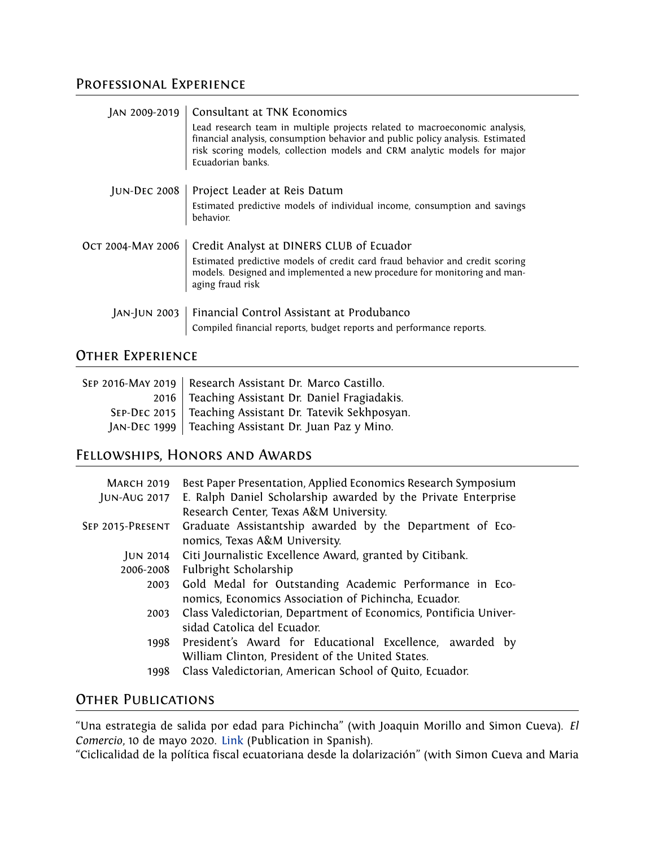# Professional Experience

| JAN 2009-2019   Consultant at TNK Economics<br>Lead research team in multiple projects related to macroeconomic analysis,<br>financial analysis, consumption behavior and public policy analysis. Estimated<br>risk scoring models, collection models and CRM analytic models for major<br>Ecuadorian banks. |
|--------------------------------------------------------------------------------------------------------------------------------------------------------------------------------------------------------------------------------------------------------------------------------------------------------------|
| JUN-DEC 2008   Project Leader at Reis Datum<br>Estimated predictive models of individual income, consumption and savings<br>behavior.                                                                                                                                                                        |
| Oct 2004-MAY 2006   Credit Analyst at DINERS CLUB of Ecuador<br>Estimated predictive models of credit card fraud behavior and credit scoring<br>models. Designed and implemented a new procedure for monitoring and man-<br>aging fraud risk                                                                 |
| JAN-JUN 2003   Financial Control Assistant at Produbanco<br>Compiled financial reports, budget reports and performance reports.                                                                                                                                                                              |

# Other Experience

| SEP 2016-MAY 2019   Research Assistant Dr. Marco Castillo. |
|------------------------------------------------------------|
| 2016   Teaching Assistant Dr. Daniel Fragiadakis.          |
| SEP-DEC 2015   Teaching Assistant Dr. Tatevik Sekhposyan.  |
| JAN-DEC 1999   Teaching Assistant Dr. Juan Paz y Mino.     |

# Fellowships, Honors and Awards

| <b>MARCH 2019</b><br><b>JUN-AUG 2017</b> | Best Paper Presentation, Applied Economics Research Symposium<br>E. Ralph Daniel Scholarship awarded by the Private Enterprise<br>Research Center, Texas A&M University. |  |  |  |
|------------------------------------------|--------------------------------------------------------------------------------------------------------------------------------------------------------------------------|--|--|--|
| SEP 2015-PRESENT                         | Graduate Assistantship awarded by the Department of Eco-<br>nomics, Texas A&M University.                                                                                |  |  |  |
| JUN 2014                                 | Citi Journalistic Excellence Award, granted by Citibank.                                                                                                                 |  |  |  |
| 2006-2008                                | Fulbright Scholarship                                                                                                                                                    |  |  |  |
| 2003                                     | Gold Medal for Outstanding Academic Performance in Eco-<br>nomics, Economics Association of Pichincha, Ecuador.                                                          |  |  |  |
| 2003                                     | Class Valedictorian, Department of Economics, Pontificia Univer-<br>sidad Catolica del Ecuador.                                                                          |  |  |  |
|                                          | 1998 President's Award for Educational Excellence, awarded by<br>William Clinton, President of the United States.                                                        |  |  |  |
| 1998                                     | Class Valedictorian, American School of Quito, Ecuador.                                                                                                                  |  |  |  |

# OTHER PUBLICATIONS

"Una estrategia de salida por edad para Pichincha" (with Joaquin Morillo and Simon Cueva). *El Comercio*, 10 de mayo 2020. [Link](https://www.elcomercio.com/tendencias/estrategia-salida-edad-pichincha-analisis.html) (Publication in Spanish).

"Ciclicalidad de la política fiscal ecuatoriana desde la dolarización" (with Simon Cueva and Maria